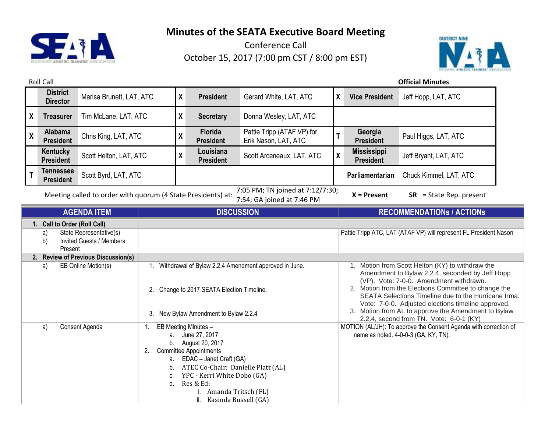

Conference Call October 15, 2017 (7:00 pm CST / 8:00 pm EST)



Roll Call **Official Minutes District Director** Marisa Brunett, LAT, ATC **<sup>X</sup> President** Gerard White, LAT, ATC **<sup>X</sup> Vice President** Jeff Hopp, LAT, ATC **X Treasurer** Tim McLane, LAT, ATC **X Secretary** Donna Wesley, LAT, ATC **X Alabama President** Chris King, LAT, ATC **<sup>X</sup> Florida President** Pattie Tripp (ATAF VP) for Pattie Tripp (ATAF VP) for<br>Erik Nason, LAT, ATC **Georgia President** Paul Higgs, LAT, ATC **Kentucky President** Scott Helton, LAT, ATC **X Louisiana President** Scott Arceneaux, LAT, ATC **<sup>X</sup> Mississippi**  Jeff Bryant, LAT, ATC **T Tennessee President** Scott Byrd, LAT, ATC **Parliamentarian** Chuck Kimmel, LAT, ATC Meeting called to order with quorum (4 State Presidents) at: 7:05 PM; TN joined at 7:12/7:30; 7:54; GA joined at 7:46 PM **X = Present SR** = State Rep. present **AGENDA ITEM DISCUSSION RECOMMENDATIONs / ACTIONs 1. Call to Order (Roll Call)** a) State Representative(s) State Representative(s) and State Tripp ATC, LAT (ATAF VP) will represent FL President Nason b) Invited Guests / Members Present **2. Review of Previous Discussion(s)** a) EB Online Motion(s) 1. Withdrawal of Bylaw 2.2.4 Amendment approved in June. 2. Change to 2017 SEATA Election Timeline. 3. New Bylaw Amendment to Bylaw 2.2.4 1. Motion from Scott Helton (KY) to withdraw the Amendment to Bylaw 2.2.4, seconded by Jeff Hopp (VP). Vote: 7-0-0. Amendment withdrawn. 2. Motion from the Elections Committee to change the SEATA Selections Timeline due to the Hurricane Irma. Vote: 7-0-0. Adjusted elections timeline approved. 3. Motion from AL to approve the Amendment to Bylaw 2.2.4, second from TN. Vote: 6-0-1 (KY) a) Consent Agenda 1. EB Meeting Minutes – a. June 27, 2017 b. August 20, 2017 2. Committee Appointments a. EDAC – Janet Craft (GA) b. ATEC Co-Chair: Danielle Platt (AL) c. YPC - Kerri White Dobo (GA) d. Res & Ed: i. Amanda Tritsch (FL) ii. Kasinda Bussell (GA) MOTION (AL/JH): To approve the Consent Agenda with correction of name as noted. 4-0-0-3 (GA, KY, TN).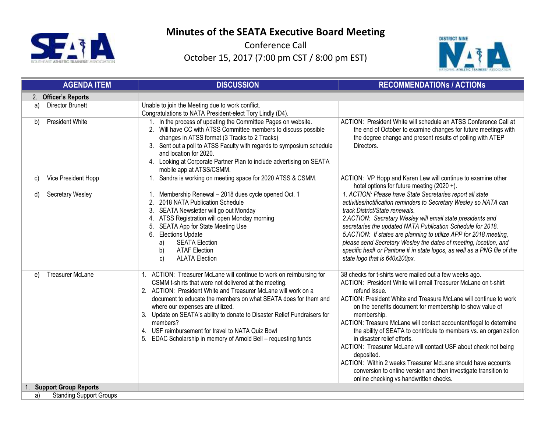

Conference Call October 15, 2017 (7:00 pm CST / 8:00 pm EST)



|                | <b>AGENDA ITEM</b>             | <b>DISCUSSION</b>                                                                                                                                                                                                                                                                                                                                                                                                                                                                                                       | <b>RECOMMENDATIONS / ACTIONS</b>                                                                                                                                                                                                                                                                                                                                                                                                                                                                                                                                                                                                                                                                                                   |
|----------------|--------------------------------|-------------------------------------------------------------------------------------------------------------------------------------------------------------------------------------------------------------------------------------------------------------------------------------------------------------------------------------------------------------------------------------------------------------------------------------------------------------------------------------------------------------------------|------------------------------------------------------------------------------------------------------------------------------------------------------------------------------------------------------------------------------------------------------------------------------------------------------------------------------------------------------------------------------------------------------------------------------------------------------------------------------------------------------------------------------------------------------------------------------------------------------------------------------------------------------------------------------------------------------------------------------------|
| 2 <sub>1</sub> | <b>Officer's Reports</b>       |                                                                                                                                                                                                                                                                                                                                                                                                                                                                                                                         |                                                                                                                                                                                                                                                                                                                                                                                                                                                                                                                                                                                                                                                                                                                                    |
| a)             | <b>Director Brunett</b>        | Unable to join the Meeting due to work conflict.<br>Congratulations to NATA President-elect Tory Lindly (D4).                                                                                                                                                                                                                                                                                                                                                                                                           |                                                                                                                                                                                                                                                                                                                                                                                                                                                                                                                                                                                                                                                                                                                                    |
| b)             | <b>President White</b>         | In the process of updating the Committee Pages on website.<br>2. Will have CC with ATSS Committee members to discuss possible<br>changes in ATSS format (3 Tracks to 2 Tracks)<br>3. Sent out a poll to ATSS Faculty with regards to symposium schedule<br>and location for 2020.<br>4. Looking at Corporate Partner Plan to include advertising on SEATA<br>mobile app at ATSS/CSMM.                                                                                                                                   | ACTION: President White will schedule an ATSS Conference Call at<br>the end of October to examine changes for future meetings with<br>the degree change and present results of polling with ATEP<br>Directors.                                                                                                                                                                                                                                                                                                                                                                                                                                                                                                                     |
| C)             | Vice President Hopp            | Sandra is working on meeting space for 2020 ATSS & CSMM.                                                                                                                                                                                                                                                                                                                                                                                                                                                                | ACTION: VP Hopp and Karen Lew will continue to examine other<br>hotel options for future meeting (2020 +).                                                                                                                                                                                                                                                                                                                                                                                                                                                                                                                                                                                                                         |
| d)             | Secretary Wesley               | Membership Renewal - 2018 dues cycle opened Oct. 1<br>2.<br>2018 NATA Publication Schedule<br>3.<br>SEATA Newsletter will go out Monday<br>ATSS Registration will open Monday morning<br>4.<br>SEATA App for State Meeting Use<br>5.<br>6. Elections Update<br><b>SEATA Election</b><br>a)<br>b)<br><b>ATAF Election</b><br>c)<br><b>ALATA Election</b>                                                                                                                                                                 | 1. ACTION: Please have State Secretaries report all state<br>activities/notification reminders to Secretary Wesley so NATA can<br>track District/State renewals.<br>2.ACTION: Secretary Wesley will email state presidents and<br>secretaries the updated NATA Publication Schedule for 2018.<br>5.ACTION: If states are planning to utilize APP for 2018 meeting,<br>please send Secretary Wesley the dates of meeting, location, and<br>specific hex# or Pantone # in state logos, as well as a PNG file of the<br>state logo that is 640x200px.                                                                                                                                                                                 |
| e)             | <b>Treasurer McLane</b>        | ACTION: Treasurer McLane will continue to work on reimbursing for<br>CSMM t-shirts that were not delivered at the meeting.<br>2. ACTION: President White and Treasurer McLane will work on a<br>document to educate the members on what SEATA does for them and<br>where our expenses are utilized.<br>3. Update on SEATA's ability to donate to Disaster Relief Fundraisers for<br>members?<br>4. USF reimbursement for travel to NATA Quiz Bowl<br>EDAC Scholarship in memory of Arnold Bell - requesting funds<br>5. | 38 checks for t-shirts were mailed out a few weeks ago.<br>ACTION: President White will email Treasurer McLane on t-shirt<br>refund issue.<br>ACTION: President White and Treasure McLane will continue to work<br>on the benefits document for membership to show value of<br>membership.<br>ACTION: Treasure McLane will contact accountant/legal to determine<br>the ability of SEATA to contribute to members vs. an organization<br>in disaster relief efforts.<br>ACTION: Treasurer McLane will contact USF about check not being<br>deposited.<br>ACTION: Within 2 weeks Treasurer McLane should have accounts<br>conversion to online version and then investigate transition to<br>online checking vs handwritten checks. |
|                | <b>Support Group Reports</b>   |                                                                                                                                                                                                                                                                                                                                                                                                                                                                                                                         |                                                                                                                                                                                                                                                                                                                                                                                                                                                                                                                                                                                                                                                                                                                                    |
| a)             | <b>Standing Support Groups</b> |                                                                                                                                                                                                                                                                                                                                                                                                                                                                                                                         |                                                                                                                                                                                                                                                                                                                                                                                                                                                                                                                                                                                                                                                                                                                                    |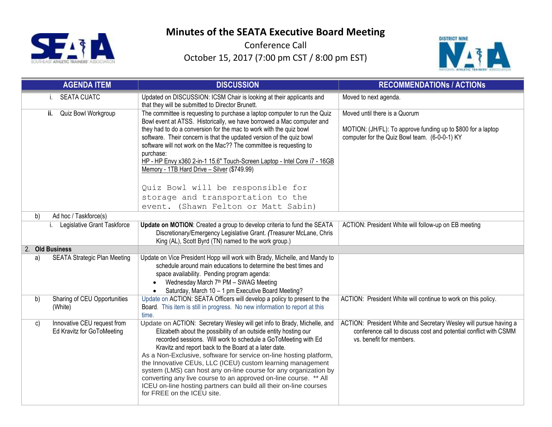

Conference Call October 15, 2017 (7:00 pm CST / 8:00 pm EST)



|    | <b>AGENDA ITEM</b>                  | <b>DISCUSSION</b>                                                                                                                                  | <b>RECOMMENDATIONS / ACTIONS</b>                                  |
|----|-------------------------------------|----------------------------------------------------------------------------------------------------------------------------------------------------|-------------------------------------------------------------------|
|    | <b>SEATA CUATC</b>                  | Updated on DISCUSSION: ICSM Chair is looking at their applicants and<br>that they will be submitted to Director Brunett.                           | Moved to next agenda.                                             |
|    | Quiz Bowl Workgroup<br>ii.          | The committee is requesting to purchase a laptop computer to run the Quiz<br>Bowl event at ATSS. Historically, we have borrowed a Mac computer and | Moved until there is a Quorum                                     |
|    |                                     | they had to do a conversion for the mac to work with the quiz bowl                                                                                 | MOTION: (JH/FL): To approve funding up to \$800 for a laptop      |
|    |                                     | software. Their concern is that the updated version of the quiz bowl                                                                               | computer for the Quiz Bowl team. (6-0-0-1) KY                     |
|    |                                     | software will not work on the Mac?? The committee is requesting to<br>purchase:                                                                    |                                                                   |
|    |                                     | HP - HP Envy x360 2-in-1 15.6" Touch-Screen Laptop - Intel Core i7 - 16GB                                                                          |                                                                   |
|    |                                     | Memory - 1TB Hard Drive - Silver (\$749.99)                                                                                                        |                                                                   |
|    |                                     |                                                                                                                                                    |                                                                   |
|    |                                     | Quiz Bowl will be responsible for                                                                                                                  |                                                                   |
|    |                                     | storage and transportation to the                                                                                                                  |                                                                   |
| b) | Ad hoc / Taskforce(s)               | event. (Shawn Felton or Matt Sabin)                                                                                                                |                                                                   |
|    | Legislative Grant Taskforce<br>i.   | Update on MOTION: Created a group to develop criteria to fund the SEATA                                                                            | ACTION: President White will follow-up on EB meeting              |
|    |                                     | Discretionary/Emergency Legislative Grant. (Treasurer McLane, Chris                                                                                |                                                                   |
|    |                                     | King (AL), Scott Byrd (TN) named to the work group.)                                                                                               |                                                                   |
|    | 2. Old Business                     |                                                                                                                                                    |                                                                   |
| a) | <b>SEATA Strategic Plan Meeting</b> | Update on Vice President Hopp will work with Brady, Michelle, and Mandy to<br>schedule around main educations to determine the best times and      |                                                                   |
|    |                                     | space availability. Pending program agenda:                                                                                                        |                                                                   |
|    |                                     | Wednesday March 7 <sup>th</sup> PM - SWAG Meeting<br>$\bullet$                                                                                     |                                                                   |
|    |                                     | Saturday, March 10 - 1 pm Executive Board Meeting?                                                                                                 |                                                                   |
| b) | Sharing of CEU Opportunities        | Update on ACTION: SEATA Officers will develop a policy to present to the                                                                           | ACTION: President White will continue to work on this policy.     |
|    | (White)                             | Board. This item is still in progress. No new information to report at this<br>time.                                                               |                                                                   |
| C) | Innovative CEU request from         | Update on ACTION: Secretary Wesley will get info to Brady, Michelle, and                                                                           | ACTION: President White and Secretary Wesley will pursue having a |
|    | Ed Kravitz for GoToMeeting          | Elizabeth about the possibility of an outside entity hosting our                                                                                   | conference call to discuss cost and potential conflict with CSMM  |
|    |                                     | recorded sessions. Will work to schedule a GoToMeeting with Ed<br>Kravitz and report back to the Board at a later date.                            | vs. benefit for members.                                          |
|    |                                     | As a Non-Exclusive, software for service on-line hosting platform,                                                                                 |                                                                   |
|    |                                     | the Innovative CEUs, LLC (ICEU) custom learning management                                                                                         |                                                                   |
|    |                                     | system (LMS) can host any on-line course for any organization by                                                                                   |                                                                   |
|    |                                     | converting any live course to an approved on-line course. ** All<br>ICEU on-line hosting partners can build all their on-line courses              |                                                                   |
|    |                                     | for FREE on the ICEU site.                                                                                                                         |                                                                   |
|    |                                     |                                                                                                                                                    |                                                                   |